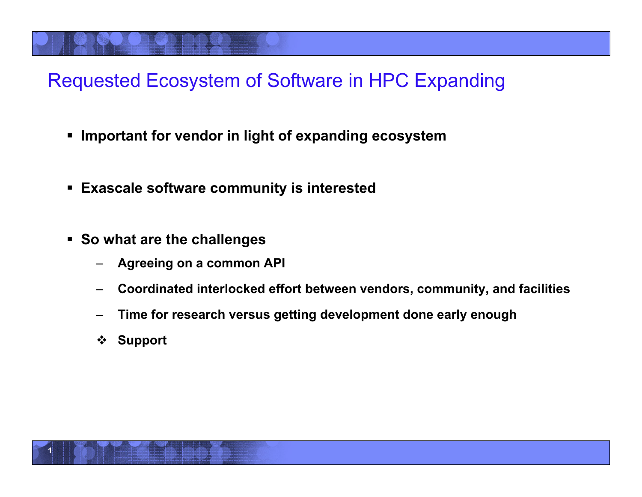#### Requested Ecosystem of Software in HPC Expanding

- **Important for vendor in light of expanding ecosystem**
- **Exascale software community is interested**
- **So what are the challenges** 
	- **Agreeing on a common API**
	- **Coordinated interlocked effort between vendors, community, and facilities**
	- **Time for research versus getting development done early enough**
	- **Support**

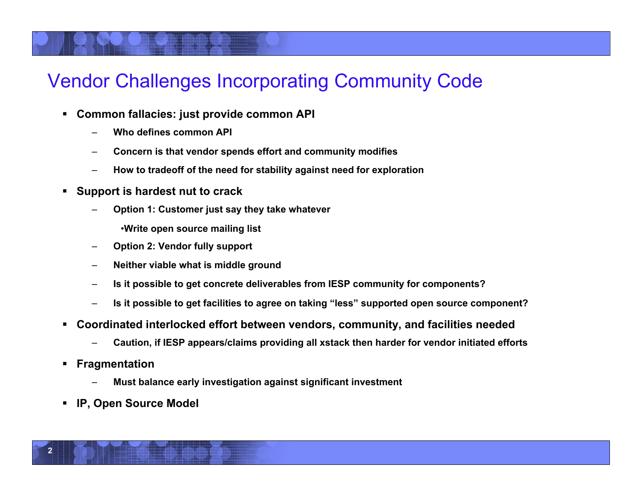#### Vendor Challenges Incorporating Community Code

- **Common fallacies: just provide common API** 
	- **Who defines common API**
	- **Concern is that vendor spends effort and community modifies**
	- **How to tradeoff of the need for stability against need for exploration**
- **Support is hardest nut to crack** 
	- **Option 1: Customer just say they take whatever** 
		- •**Write open source mailing list**
	- **Option 2: Vendor fully support**
	- **Neither viable what is middle ground**
	- **Is it possible to get concrete deliverables from IESP community for components?**
	- **Is it possible to get facilities to agree on taking "less" supported open source component?**
- **Coordinated interlocked effort between vendors, community, and facilities needed** 
	- **Caution, if IESP appears/claims providing all xstack then harder for vendor initiated efforts**
- **Fragmentation** 
	- **Must balance early investigation against significant investment**
- **IP, Open Source Model**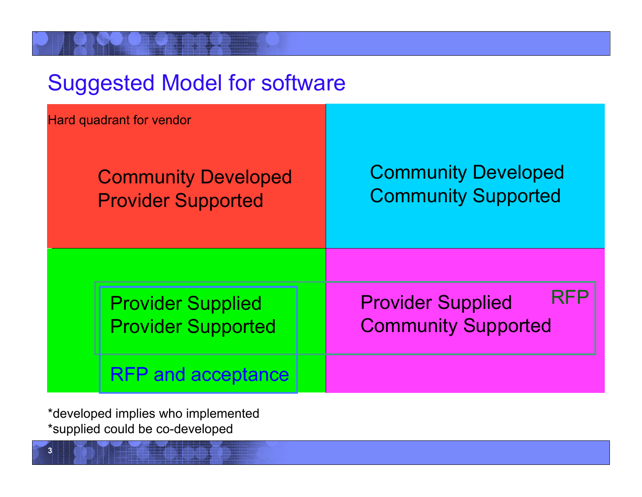| <b>Suggested Model for software</b>                     |                                                                      |  |  |  |  |  |
|---------------------------------------------------------|----------------------------------------------------------------------|--|--|--|--|--|
| <b>Hard quadrant for vendor</b>                         |                                                                      |  |  |  |  |  |
| <b>Community Developed</b><br><b>Provider Supported</b> | <b>Community Developed</b><br><b>Community Supported</b>             |  |  |  |  |  |
| <b>Provider Supplied</b><br><b>Provider Supported</b>   | <b>RFF</b><br><b>Provider Supplied</b><br><b>Community Supported</b> |  |  |  |  |  |
| <b>RFP and acceptance</b>                               |                                                                      |  |  |  |  |  |

\*developed implies who implemented \*supplied could be co-developed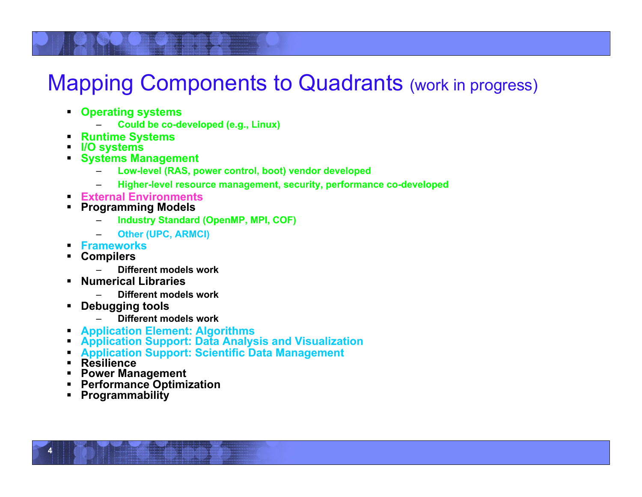## Mapping Components to Quadrants (work in progress)

- **Operating systems** 
	- **Could be co-developed (e.g., Linux)**
- **Runtime Systems I/O systems**
- 
- **Systems Management** 
	- **Low-level (RAS, power control, boot) vendor developed**
	- **Higher-level resource management, security, performance co-developed**
- **External Environments Programming Models**
- - **Industry Standard (OpenMP, MPI, COF)**
	- **Other (UPC, ARMCI)**
- **Frameworks Compilers**
- - **Different models work**
- **Numerical Libraries** 
	- **Different models work**
- **Debugging tools** 
	- **Different models work**
- 
- **Application Element: Algorithms Application Support: Data Analysis and Visualization**
- **Application Support: Scientific Data Management Resilience Power Management**
- 
- 
- **Performance Optimization Programmability**
- 

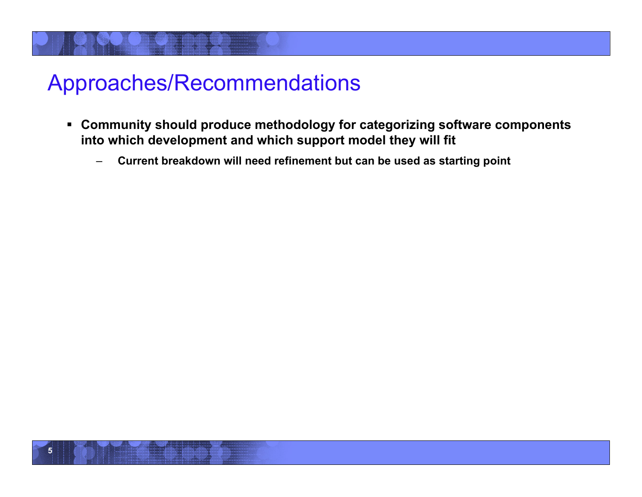- **Community should produce methodology for categorizing software components into which development and which support model they will fit** 
	- **Current breakdown will need refinement but can be used as starting point**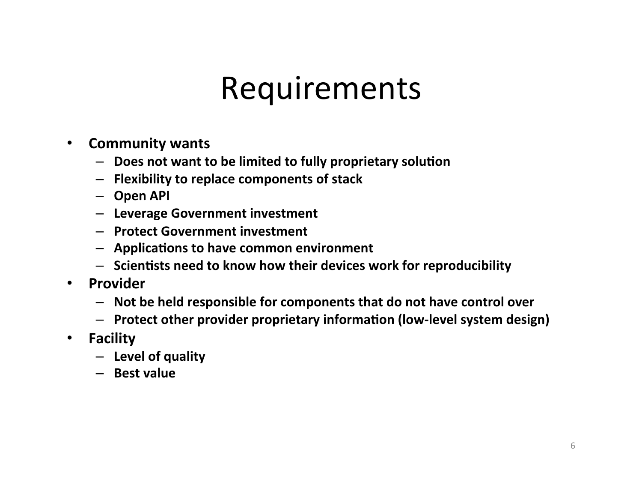# Requirements"

- **Community)wants)**
	- $-$  Does not want to be limited to fully proprietary solution
	- $-$  Flexibility to replace components of stack
	- **Open)API)**
	- **Leverage)Government)investment)**
	- **Protect)Government)investment)**
	- $-$  Applications to have common environment
	- $-$  Scientists need to know how their devices work for reproducibility
- **Provider)**
	- $-$  Not be held responsible for components that do not have control over
	- $-$  Protect other provider proprietary information (low-level system design)
- **Facility)**
	- **Level)of)quality)**
	- **Best)value**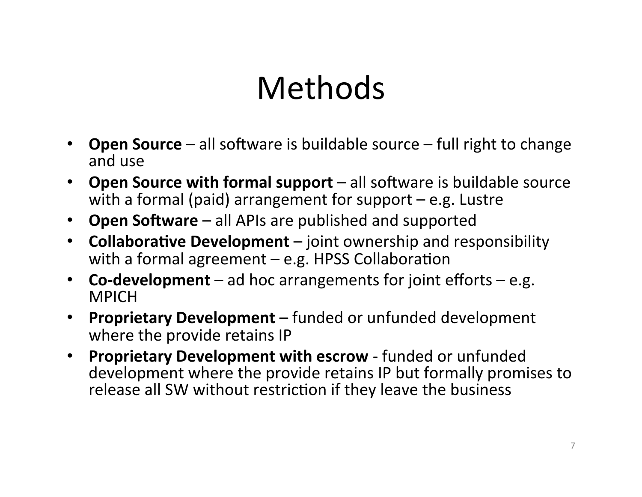# Methods"

- **Open Source** all software is buildable source full right to change and use
- **Open Source with formal support** all software is buildable source with a formal (paid) arrangement for support  $-$  e.g. Lustre
- **Open Software** all APIs are published and supported
- **Collaborative Development** joint ownership and responsibility with a formal agreement  $-$  e.g. HPSS Collaboration
- **Co-development** ad hoc arrangements for joint efforts e.g. **MPICH**
- **Proprietary Development** funded or unfunded development where the provide retains IP
- **Proprietary Development with escrow** funded or unfunded development where the provide retains IP but formally promises to release all SW without restriction if they leave the business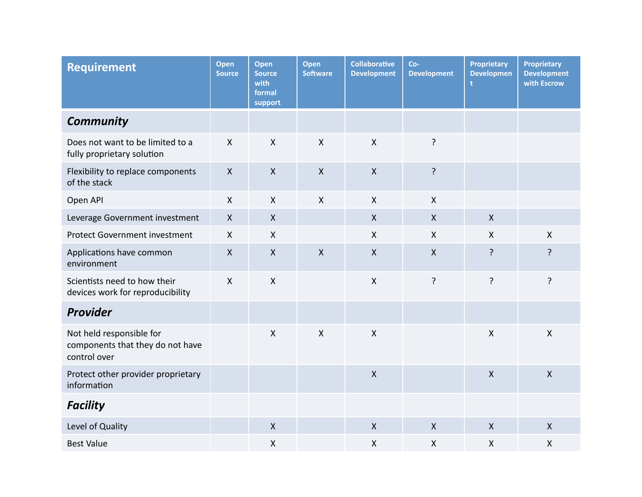| <b>Requirement</b>                                                           | Open<br><b>Source</b>     | Open<br><b>Source</b><br>with<br>formal<br>support | Open<br><b>Software</b> | <b>Collaborative</b><br><b>Development</b> | $Co-$<br><b>Development</b> | <b>Proprietary</b><br><b>Developmen</b><br>t | <b>Proprietary</b><br><b>Development</b><br>with Escrow |
|------------------------------------------------------------------------------|---------------------------|----------------------------------------------------|-------------------------|--------------------------------------------|-----------------------------|----------------------------------------------|---------------------------------------------------------|
| <b>Community</b>                                                             |                           |                                                    |                         |                                            |                             |                                              |                                                         |
| Does not want to be limited to a<br>fully proprietary solution               | $\boldsymbol{\mathsf{X}}$ | $\mathsf{X}$                                       | $\mathsf{X}$            | $\mathsf{X}$                               | ?                           |                                              |                                                         |
| Flexibility to replace components<br>of the stack                            | $\mathsf{X}$              | $\mathsf{X}$                                       | $\mathsf{X}$            | $\boldsymbol{X}$                           | ?                           |                                              |                                                         |
| Open API                                                                     | $\mathsf{X}$              | $\mathsf{X}$                                       | $\mathsf{X}$            | $\mathsf{X}$                               | $\mathsf{X}$                |                                              |                                                         |
| Leverage Government investment                                               | $\boldsymbol{X}$          | $\pmb{\mathsf{X}}$                                 |                         | $\mathsf{X}$                               | $\pmb{\mathsf{X}}$          | $\mathsf{X}$                                 |                                                         |
| <b>Protect Government investment</b>                                         | $\boldsymbol{\mathsf{X}}$ | $\boldsymbol{\mathsf{X}}$                          |                         | $\boldsymbol{\mathsf{X}}$                  | $\boldsymbol{\mathsf{X}}$   | $\boldsymbol{\mathsf{X}}$                    | $\mathsf{X}$                                            |
| Applications have common<br>environment                                      | $\boldsymbol{X}$          | $\pmb{\mathsf{X}}$                                 | $\mathsf{X}$            | $\mathsf{X}$                               | $\mathsf{X}$                | ?                                            | ?                                                       |
| Scientists need to how their<br>devices work for reproducibility             | $\mathsf{X}$              | $\mathsf{X}$                                       |                         | $\mathsf{X}$                               | $\overline{?}$              | ?                                            | ?                                                       |
| <b>Provider</b>                                                              |                           |                                                    |                         |                                            |                             |                                              |                                                         |
| Not held responsible for<br>components that they do not have<br>control over |                           | $\mathsf{X}$                                       | $\mathsf{X}$            | $\mathsf{X}$                               |                             | $\boldsymbol{\mathsf{X}}$                    | $\mathsf{X}$                                            |
| Protect other provider proprietary<br>information                            |                           |                                                    |                         | $\boldsymbol{\mathsf{X}}$                  |                             | $\boldsymbol{X}$                             | $\pmb{\mathsf{X}}$                                      |
| <b>Facility</b>                                                              |                           |                                                    |                         |                                            |                             |                                              |                                                         |
| Level of Quality                                                             |                           | $\pmb{\mathsf{X}}$                                 |                         | $\mathsf{X}$                               | $\mathsf{X}$                | $\boldsymbol{X}$                             | X                                                       |
| <b>Best Value</b>                                                            |                           | $\pmb{\mathsf{X}}$                                 |                         | $\pmb{\mathsf{X}}$                         | $\pmb{\mathsf{X}}$          | $\boldsymbol{\mathsf{X}}$                    | X                                                       |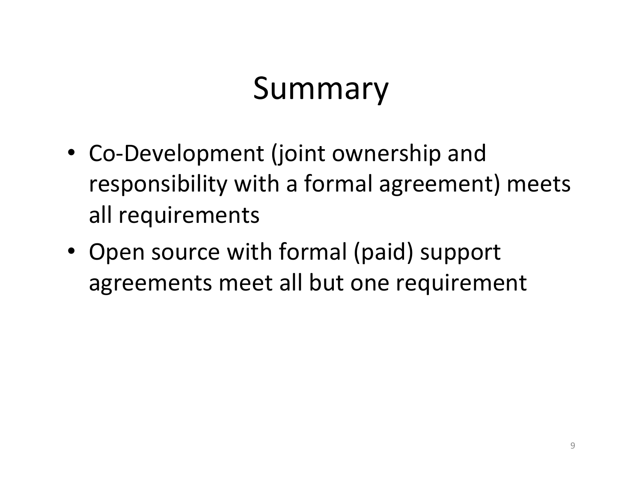# **Summary**

- Co-Development (joint ownership and responsibility with a formal agreement) meets all requirements
- Open source with formal (paid) support agreements meet all but one requirement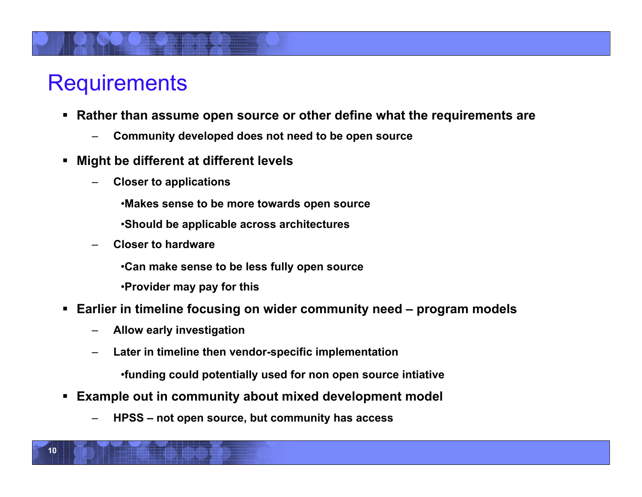## **Requirements**

- **Rather than assume open source or other define what the requirements are** 
	- **Community developed does not need to be open source**
- **Might be different at different levels** 
	- **Closer to applications** 
		- •**Makes sense to be more towards open source**
		- •**Should be applicable across architectures**
	- **Closer to hardware** 
		- •**Can make sense to be less fully open source**
		- •**Provider may pay for this**
- **Earlier in timeline focusing on wider community need program models** 
	- **Allow early investigation**
	- **Later in timeline then vendor-specific implementation** 
		- •**funding could potentially used for non open source intiative**
- **Example out in community about mixed development model** 
	- **HPSS not open source, but community has access**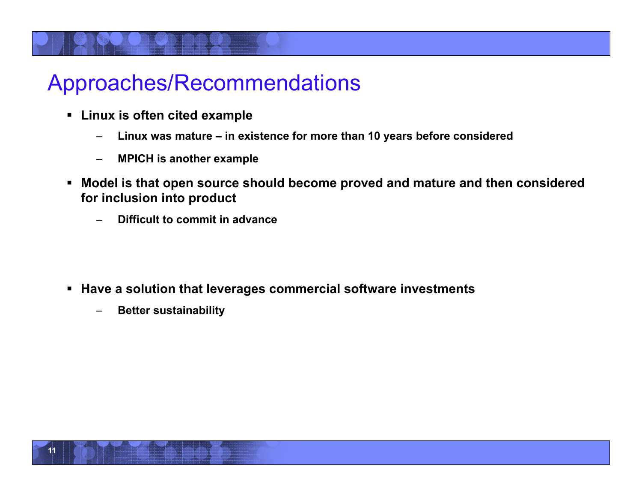- **Linux is often cited example** 
	- **Linux was mature in existence for more than 10 years before considered**
	- **MPICH is another example**
- **Model is that open source should become proved and mature and then considered for inclusion into product** 
	- **Difficult to commit in advance**

- **Have a solution that leverages commercial software investments** 
	- **Better sustainability**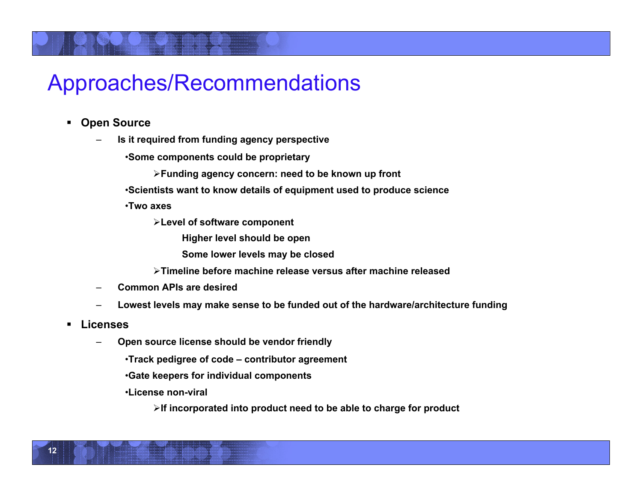- **Open Source** 
	- **Is it required from funding agency perspective**

•**Some components could be proprietary** 

**Funding agency concern: need to be known up front** 

•**Scientists want to know details of equipment used to produce science** 

•**Two axes** 

**Level of software component** 

**Higher level should be open** 

**Some lower levels may be closed** 

**Timeline before machine release versus after machine released** 

- **Common APIs are desired**
- **Lowest levels may make sense to be funded out of the hardware/architecture funding**
- **Licenses** 
	- **Open source license should be vendor friendly**

•**Track pedigree of code – contributor agreement** 

•**Gate keepers for individual components** 

•**License non-viral** 

**If incorporated into product need to be able to charge for product**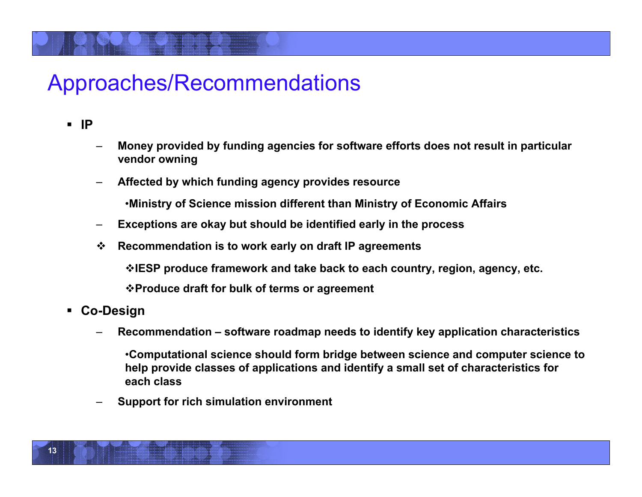**IP** 

- **Money provided by funding agencies for software efforts does not result in particular vendor owning**
- **Affected by which funding agency provides resource**

•**Ministry of Science mission different than Ministry of Economic Affairs** 

- **Exceptions are okay but should be identified early in the process**
- **Recommendation is to work early on draft IP agreements**

**IESP produce framework and take back to each country, region, agency, etc.** 

**Produce draft for bulk of terms or agreement** 

- **Co-Design** 
	- **Recommendation software roadmap needs to identify key application characteristics**

•**Computational science should form bridge between science and computer science to help provide classes of applications and identify a small set of characteristics for each class** 

– **Support for rich simulation environment**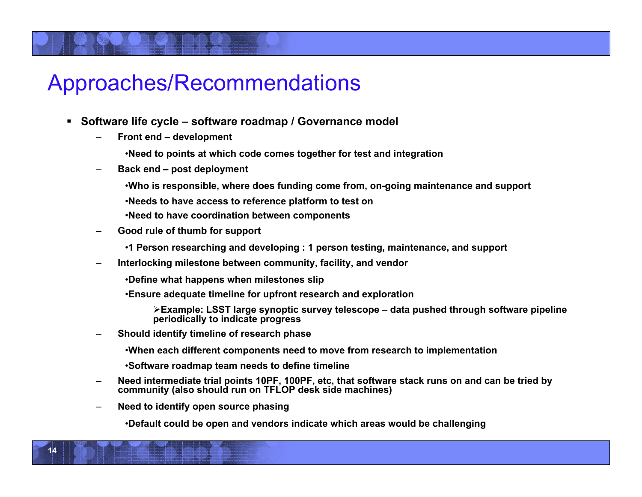- **Software life cycle software roadmap / Governance model** 
	- **Front end development** 
		- •**Need to points at which code comes together for test and integration**
	- **Back end post deployment** 
		- •**Who is responsible, where does funding come from, on-going maintenance and support**
		- •**Needs to have access to reference platform to test on**
		- •**Need to have coordination between components**
	- **Good rule of thumb for support** 
		- •**1 Person researching and developing : 1 person testing, maintenance, and support**
	- **Interlocking milestone between community, facility, and vendor** 
		- •**Define what happens when milestones slip**
		- •**Ensure adequate timeline for upfront research and exploration** 
			- **Example: LSST large synoptic survey telescope data pushed through software pipeline periodically to indicate progress**
	- **Should identify timeline of research phase** 
		- •**When each different components need to move from research to implementation**
		- •**Software roadmap team needs to define timeline**
	- **Need intermediate trial points 10PF, 100PF, etc, that software stack runs on and can be tried by community (also should run on TFLOP desk side machines)**
	- **Need to identify open source phasing**

**14** 

•**Default could be open and vendors indicate which areas would be challenging**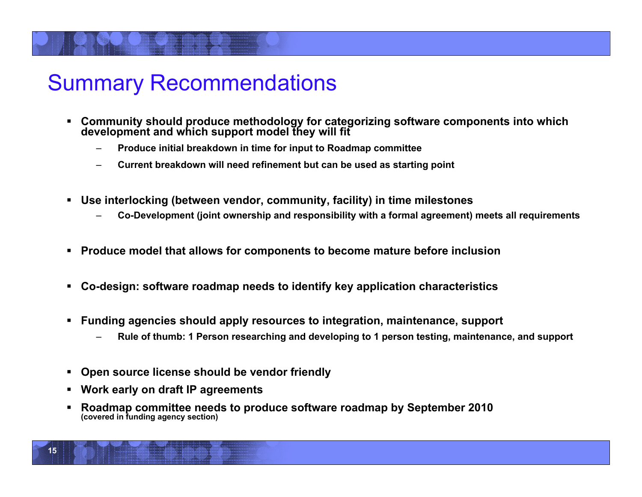## Summary Recommendations

- **Community should produce methodology for categorizing software components into which development and which support model they will fit** 
	- **Produce initial breakdown in time for input to Roadmap committee**
	- **Current breakdown will need refinement but can be used as starting point**
- **Use interlocking (between vendor, community, facility) in time milestones** 
	- **Co-Development (joint ownership and responsibility with a formal agreement) meets all requirements**
- **Produce model that allows for components to become mature before inclusion**
- **Co-design: software roadmap needs to identify key application characteristics**
- **Funding agencies should apply resources to integration, maintenance, support** 
	- **Rule of thumb: 1 Person researching and developing to 1 person testing, maintenance, and support**
- **Open source license should be vendor friendly**
- **Work early on draft IP agreements**
- **Roadmap committee needs to produce software roadmap by September 2010 (covered in funding agency section)**